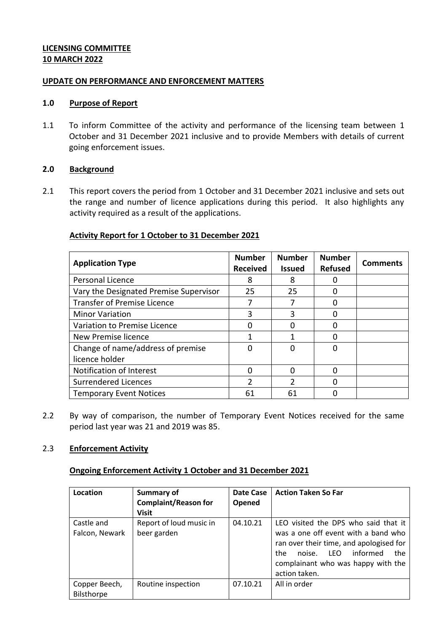### **LICENSING COMMITTEE 10 MARCH 2022**

#### **UPDATE ON PERFORMANCE AND ENFORCEMENT MATTERS**

#### **1.0 Purpose of Report**

1.1 To inform Committee of the activity and performance of the licensing team between 1 October and 31 December 2021 inclusive and to provide Members with details of current going enforcement issues.

### **2.0 Background**

2.1 This report covers the period from 1 October and 31 December 2021 inclusive and sets out the range and number of licence applications during this period. It also highlights any activity required as a result of the applications.

# **Activity Report for 1 October to 31 December 2021**

| <b>Application Type</b>                | <b>Number</b><br><b>Received</b> | <b>Number</b><br><b>Issued</b> | <b>Number</b><br><b>Refused</b> | <b>Comments</b> |
|----------------------------------------|----------------------------------|--------------------------------|---------------------------------|-----------------|
| Personal Licence                       | 8                                | 8                              | $\mathbf{0}$                    |                 |
| Vary the Designated Premise Supervisor | 25                               | 25                             | 0                               |                 |
| <b>Transfer of Premise Licence</b>     |                                  |                                | ი                               |                 |
| <b>Minor Variation</b>                 | 3                                | ੨                              |                                 |                 |
| Variation to Premise Licence           | O                                |                                | O                               |                 |
| New Premise licence                    |                                  |                                | ი                               |                 |
| Change of name/address of premise      | 0                                |                                | 0                               |                 |
| licence holder                         |                                  |                                |                                 |                 |
| Notification of Interest               | ი                                |                                | $\Omega$                        |                 |
| Surrendered Licences                   | 2                                | 2                              | 0                               |                 |
| <b>Temporary Event Notices</b>         | 61                               | 61                             |                                 |                 |

2.2 By way of comparison, the number of Temporary Event Notices received for the same period last year was 21 and 2019 was 85.

#### 2.3 **Enforcement Activity**

# **Ongoing Enforcement Activity 1 October and 31 December 2021**

| Location                     | Summary of<br><b>Complaint/Reason for</b><br><b>Visit</b> | Date Case<br>Opened | <b>Action Taken So Far</b>                                                                                                                                                                                            |
|------------------------------|-----------------------------------------------------------|---------------------|-----------------------------------------------------------------------------------------------------------------------------------------------------------------------------------------------------------------------|
| Castle and<br>Falcon, Newark | Report of loud music in<br>beer garden                    | 04.10.21            | LEO visited the DPS who said that it<br>was a one off event with a band who<br>ran over their time, and apologised for<br>informed<br>noise. LFO<br>the<br>the<br>complainant who was happy with the<br>action taken. |
| Copper Beech,<br>Bilsthorpe  | Routine inspection                                        | 07.10.21            | All in order                                                                                                                                                                                                          |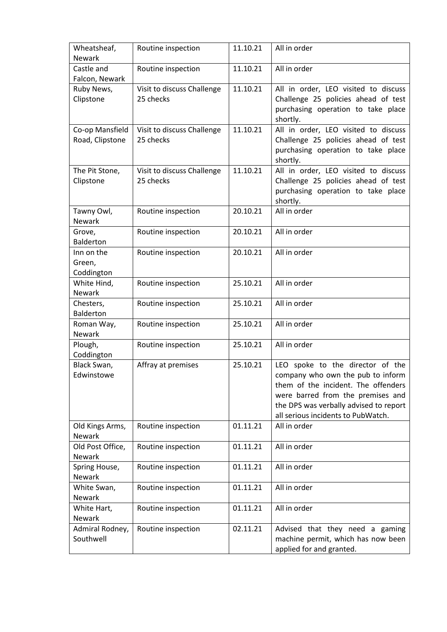| Wheatsheaf,<br><b>Newark</b>       | Routine inspection                      | 11.10.21 | All in order                                                                                                                                                                                                                      |
|------------------------------------|-----------------------------------------|----------|-----------------------------------------------------------------------------------------------------------------------------------------------------------------------------------------------------------------------------------|
| Castle and<br>Falcon, Newark       | Routine inspection                      | 11.10.21 | All in order                                                                                                                                                                                                                      |
| Ruby News,<br>Clipstone            | Visit to discuss Challenge<br>25 checks | 11.10.21 | All in order, LEO visited to discuss<br>Challenge 25 policies ahead of test<br>purchasing operation to take place<br>shortly.                                                                                                     |
| Co-op Mansfield<br>Road, Clipstone | Visit to discuss Challenge<br>25 checks | 11.10.21 | All in order, LEO visited to discuss<br>Challenge 25 policies ahead of test<br>purchasing operation to take place<br>shortly.                                                                                                     |
| The Pit Stone,<br>Clipstone        | Visit to discuss Challenge<br>25 checks | 11.10.21 | All in order, LEO visited to discuss<br>Challenge 25 policies ahead of test<br>purchasing operation to take place<br>shortly.                                                                                                     |
| Tawny Owl,<br><b>Newark</b>        | Routine inspection                      | 20.10.21 | All in order                                                                                                                                                                                                                      |
| Grove,<br><b>Balderton</b>         | Routine inspection                      | 20.10.21 | All in order                                                                                                                                                                                                                      |
| Inn on the<br>Green,<br>Coddington | Routine inspection                      | 20.10.21 | All in order                                                                                                                                                                                                                      |
| White Hind,<br>Newark              | Routine inspection                      | 25.10.21 | All in order                                                                                                                                                                                                                      |
| Chesters,<br><b>Balderton</b>      | Routine inspection                      | 25.10.21 | All in order                                                                                                                                                                                                                      |
| Roman Way,<br>Newark               | Routine inspection                      | 25.10.21 | All in order                                                                                                                                                                                                                      |
| Plough,<br>Coddington              | Routine inspection                      | 25.10.21 | All in order                                                                                                                                                                                                                      |
| Black Swan,<br>Edwinstowe          | Affray at premises                      | 25.10.21 | LEO spoke to the director of the<br>company who own the pub to inform<br>them of the incident. The offenders<br>were barred from the premises and<br>the DPS was verbally advised to report<br>all serious incidents to PubWatch. |
| Old Kings Arms,<br><b>Newark</b>   | Routine inspection                      | 01.11.21 | All in order                                                                                                                                                                                                                      |
| Old Post Office,<br>Newark         | Routine inspection                      | 01.11.21 | All in order                                                                                                                                                                                                                      |
| Spring House,<br><b>Newark</b>     | Routine inspection                      | 01.11.21 | All in order                                                                                                                                                                                                                      |
| White Swan,<br>Newark              | Routine inspection                      | 01.11.21 | All in order                                                                                                                                                                                                                      |
| White Hart,<br>Newark              | Routine inspection                      | 01.11.21 | All in order                                                                                                                                                                                                                      |
| Admiral Rodney,<br>Southwell       | Routine inspection                      | 02.11.21 | Advised that they need a gaming<br>machine permit, which has now been<br>applied for and granted.                                                                                                                                 |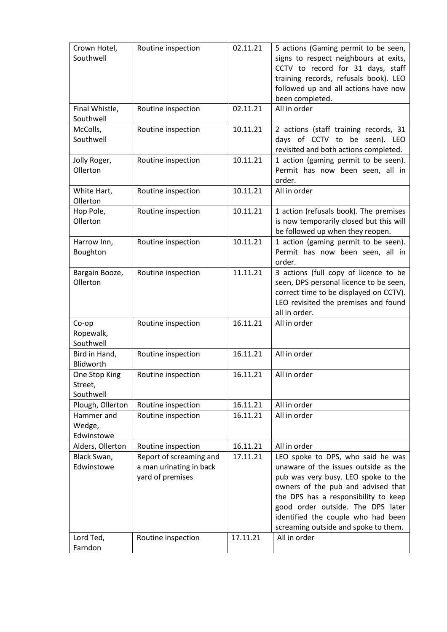| Crown Hotel,<br>Southwell             | Routine inspection                                                     | 02.11.21 | 5 actions (Gaming permit to be seen,<br>signs to respect neighbours at exits,<br>CCTV to record for 31 days, staff<br>training records, refusals book). LEO<br>followed up and all actions have now<br>been completed.                                                                                            |
|---------------------------------------|------------------------------------------------------------------------|----------|-------------------------------------------------------------------------------------------------------------------------------------------------------------------------------------------------------------------------------------------------------------------------------------------------------------------|
| Final Whistle,<br>Southwell           | Routine inspection                                                     | 02.11.21 | All in order                                                                                                                                                                                                                                                                                                      |
| McColls,<br>Southwell                 | Routine inspection                                                     | 10.11.21 | 2 actions (staff training records, 31<br>days of CCTV to be seen). LEO<br>revisited and both actions completed.                                                                                                                                                                                                   |
| Jolly Roger,<br>Ollerton              | Routine inspection                                                     | 10.11.21 | 1 action (gaming permit to be seen).<br>Permit has now been seen, all in<br>order.                                                                                                                                                                                                                                |
| White Hart,<br>Ollerton               | Routine inspection                                                     | 10.11.21 | All in order                                                                                                                                                                                                                                                                                                      |
| Hop Pole,<br>Ollerton                 | Routine inspection                                                     | 10.11.21 | 1 action (refusals book). The premises<br>is now temporarily closed but this will<br>be followed up when they reopen.                                                                                                                                                                                             |
| Harrow Inn,<br>Boughton               | Routine inspection                                                     | 10.11.21 | 1 action (gaming permit to be seen).<br>Permit has now been seen, all in<br>order.                                                                                                                                                                                                                                |
| Bargain Booze,<br>Ollerton            | Routine inspection                                                     | 11.11.21 | 3 actions (full copy of licence to be<br>seen, DPS personal licence to be seen,<br>correct time to be displayed on CCTV).<br>LEO revisited the premises and found<br>all in order.                                                                                                                                |
| Co-op<br>Ropewalk,<br>Southwell       | Routine inspection                                                     | 16.11.21 | All in order                                                                                                                                                                                                                                                                                                      |
| Bird in Hand,<br>Blidworth            | Routine inspection                                                     | 16.11.21 | All in order                                                                                                                                                                                                                                                                                                      |
| One Stop King<br>Street,<br>Southwell | Routine inspection                                                     | 16.11.21 | All in order                                                                                                                                                                                                                                                                                                      |
| Plough, Ollerton                      | Routine inspection                                                     | 16.11.21 | All in order                                                                                                                                                                                                                                                                                                      |
| Hammer and<br>Wedge,<br>Edwinstowe    | Routine inspection                                                     | 16.11.21 | All in order                                                                                                                                                                                                                                                                                                      |
| Alders, Ollerton                      | Routine inspection                                                     | 16.11.21 | All in order                                                                                                                                                                                                                                                                                                      |
| Black Swan,<br>Edwinstowe             | Report of screaming and<br>a man urinating in back<br>yard of premises | 17.11.21 | LEO spoke to DPS, who said he was<br>unaware of the issues outside as the<br>pub was very busy. LEO spoke to the<br>owners of the pub and advised that<br>the DPS has a responsibility to keep<br>good order outside. The DPS later<br>identified the couple who had been<br>screaming outside and spoke to them. |
| Lord Ted,<br>Farndon                  | Routine inspection                                                     | 17.11.21 | All in order                                                                                                                                                                                                                                                                                                      |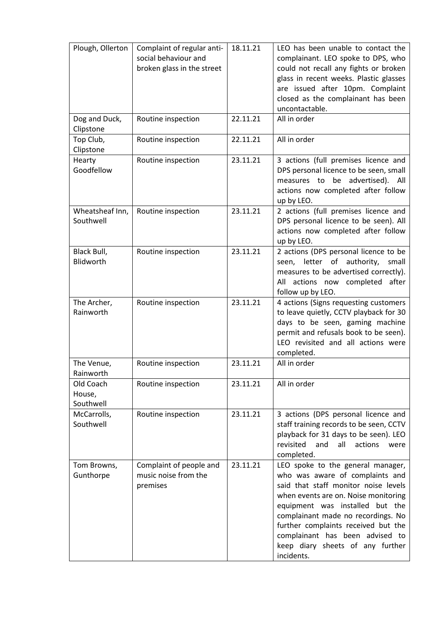| Plough, Ollerton                 | Complaint of regular anti-<br>social behaviour and<br>broken glass in the street | 18.11.21 | LEO has been unable to contact the<br>complainant. LEO spoke to DPS, who<br>could not recall any fights or broken<br>glass in recent weeks. Plastic glasses<br>are issued after 10pm. Complaint<br>closed as the complainant has been<br>uncontactable.                                                                                                   |
|----------------------------------|----------------------------------------------------------------------------------|----------|-----------------------------------------------------------------------------------------------------------------------------------------------------------------------------------------------------------------------------------------------------------------------------------------------------------------------------------------------------------|
| Dog and Duck,<br>Clipstone       | Routine inspection                                                               | 22.11.21 | All in order                                                                                                                                                                                                                                                                                                                                              |
| Top Club,<br>Clipstone           | Routine inspection                                                               | 22.11.21 | All in order                                                                                                                                                                                                                                                                                                                                              |
| Hearty<br>Goodfellow             | Routine inspection                                                               | 23.11.21 | 3 actions (full premises licence and<br>DPS personal licence to be seen, small<br>measures to be advertised). All<br>actions now completed after follow<br>up by LEO.                                                                                                                                                                                     |
| Wheatsheaf Inn,<br>Southwell     | Routine inspection                                                               | 23.11.21 | 2 actions (full premises licence and<br>DPS personal licence to be seen). All<br>actions now completed after follow<br>up by LEO.                                                                                                                                                                                                                         |
| Black Bull,<br>Blidworth         | Routine inspection                                                               | 23.11.21 | 2 actions (DPS personal licence to be<br>seen, letter of authority,<br>small<br>measures to be advertised correctly).<br>All actions now completed<br>after<br>follow up by LEO.                                                                                                                                                                          |
| The Archer,<br>Rainworth         | Routine inspection                                                               | 23.11.21 | 4 actions (Signs requesting customers<br>to leave quietly, CCTV playback for 30<br>days to be seen, gaming machine<br>permit and refusals book to be seen).<br>LEO revisited and all actions were<br>completed.                                                                                                                                           |
| The Venue,<br>Rainworth          | Routine inspection                                                               | 23.11.21 | All in order                                                                                                                                                                                                                                                                                                                                              |
| Old Coach<br>House,<br>Southwell | Routine inspection                                                               | 23.11.21 | All in order                                                                                                                                                                                                                                                                                                                                              |
| McCarrolls,<br>Southwell         | Routine inspection                                                               | 23.11.21 | 3 actions (DPS personal licence and<br>staff training records to be seen, CCTV<br>playback for 31 days to be seen). LEO<br>revisited<br>and<br>all<br>actions<br>were<br>completed.                                                                                                                                                                       |
| Tom Browns,<br>Gunthorpe         | Complaint of people and<br>music noise from the<br>premises                      | 23.11.21 | LEO spoke to the general manager,<br>who was aware of complaints and<br>said that staff monitor noise levels<br>when events are on. Noise monitoring<br>equipment was installed but the<br>complainant made no recordings. No<br>further complaints received but the<br>complainant has been advised to<br>keep diary sheets of any further<br>incidents. |